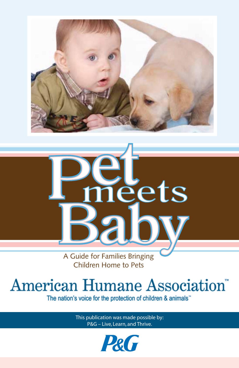



A Guide for Families Bringing Children Home to Pets

# **American Humane Association**

The nation's voice for the protection of children & animals"

This publication was made possible by: P&G – Live, Learn, and Thrive.

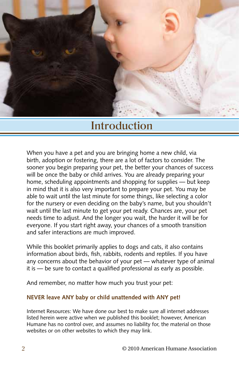

# **Introduction**

When you have a pet and you are bringing home a new child, via birth, adoption or fostering, there are a lot of factors to consider. The sooner you begin preparing your pet, the better your chances of success will be once the baby or child arrives. You are already preparing your home, scheduling appointments and shopping for supplies — but keep in mind that it is also very important to prepare your pet. You may be able to wait until the last minute for some things, like selecting a color for the nursery or even deciding on the baby's name, but you shouldn't wait until the last minute to get your pet ready. Chances are, your pet needs time to adjust. And the longer you wait, the harder it will be for everyone. If you start right away, your chances of a smooth transition and safer interactions are much improved.

While this booklet primarily applies to dogs and cats, it also contains information about birds, fish, rabbits, rodents and reptiles. If you have any concerns about the behavior of your pet — whatever type of animal it is — be sure to contact a qualified professional as early as possible.

And remember, no matter how much you trust your pet:

#### **NEVER leave ANY baby or child unattended with ANY pet!**

Internet Resources: We have done our best to make sure all internet addresses listed herein were active when we published this booklet; however, American Humane has no control over, and assumes no liability for, the material on those websites or on other websites to which they may link.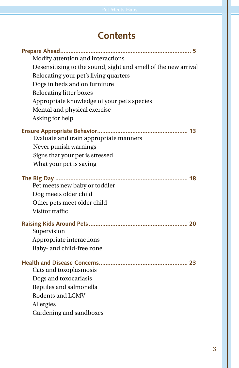# **Contents**

| Modify attention and interactions                               |
|-----------------------------------------------------------------|
| Desensitizing to the sound, sight and smell of the new arrival  |
| Relocating your pet's living quarters                           |
| Dogs in beds and on furniture                                   |
| Relocating litter boxes                                         |
| Appropriate knowledge of your pet's species                     |
| Mental and physical exercise                                    |
| Asking for help                                                 |
| Evaluate and train appropriate manners<br>Never punish warnings |
| Signs that your pet is stressed                                 |
| What your pet is saying                                         |
|                                                                 |
| Pet meets new baby or toddler                                   |
| Dog meets older child                                           |
| Other pets meet older child                                     |
| Visitor traffic                                                 |
| Supervision                                                     |
| Appropriate interactions                                        |
| Baby- and child-free zone                                       |
| Cats and toxoplasmosis                                          |
| Dogs and toxocariasis                                           |
| Reptiles and salmonella                                         |
| Rodents and LCMV                                                |
| Allergies                                                       |
| Gardening and sandboxes                                         |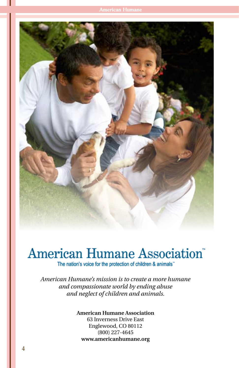

# **American Humane Association**

The nation's voice for the protection of children & animals"

*American Humane's mission is to create a more humane and compassionate world by ending abuse and neglect of children and animals.*

#### **American Humane Association**

63 Inverness Drive East Englewood, CO 80112 (800) 227-4645 **www.americanhumane.org**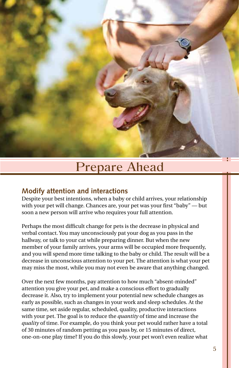

# Prepare Ahead

### **Modify attention and interactions**

Despite your best intentions, when a baby or child arrives, your relationship with your pet will change. Chances are, your pet was your first "baby" — but soon a new person will arrive who requires your full attention.

Perhaps the most difficult change for pets is the decrease in physical and verbal contact. You may unconsciously pat your dog as you pass in the hallway, or talk to your cat while preparing dinner. But when the new member of your family arrives, your arms will be occupied more frequently, and you will spend more time talking to the baby or child. The result will be a decrease in unconscious attention to your pet. The attention is what your pet may miss the most, while you may not even be aware that anything changed.

Over the next few months, pay attention to how much "absent-minded" attention you give your pet, and make a conscious effort to gradually decrease it. Also, try to implement your potential new schedule changes as early as possible, such as changes in your work and sleep schedules. At the same time, set aside regular, scheduled, quality, productive interactions with your pet. The goal is to reduce the *quantity* of time and increase the *quality* of time. For example, do you think your pet would rather have a total of 30 minutes of random petting as you pass by, or 15 minutes of direct, one-on-one play time? If you do this slowly, your pet won't even realize what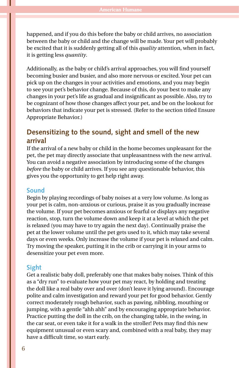happened, and if you do this before the baby or child arrives, no association between the baby or child and the change will be made. Your pet will probably be excited that it is suddenly getting all of this *quality* attention, when in fact, it is getting less *quantity*.

Additionally, as the baby or child's arrival approaches, you will find yourself becoming busier and busier, and also more nervous or excited. Your pet can pick up on the changes in your activities and emotions, and you may begin to see your pet's behavior change. Because of this, do your best to make any changes in your pet's life as gradual and insignificant as possible. Also, try to be cognizant of how those changes affect your pet, and be on the lookout for behaviors that indicate your pet is stressed. (Refer to the section titled Ensure Appropriate Behavior.)

# **Desensitizing to the sound, sight and smell of the new arrival**

If the arrival of a new baby or child in the home becomes unpleasant for the pet, the pet may directly associate that unpleasantness with the new arrival. You can avoid a negative association by introducing some of the changes *before* the baby or child arrives. If you see any questionable behavior, this gives you the opportunity to get help right away.

#### **Sound**

Begin by playing recordings of baby noises at a very low volume. As long as your pet is calm, non-anxious or curious, praise it as you gradually increase the volume. If your pet becomes anxious or fearful or displays any negative reaction, stop, turn the volume down and keep it at a level at which the pet is relaxed (you may have to try again the next day). Continually praise the pet at the lower volume until the pet gets used to it, which may take several days or even weeks. Only increase the volume if your pet is relaxed and calm. Try moving the speaker, putting it in the crib or carrying it in your arms to desensitize your pet even more.

#### **Sight**

Get a realistic baby doll, preferably one that makes baby noises. Think of this as a "dry run" to evaluate how your pet may react, by holding and treating the doll like a real baby over and over (don't leave it lying around). Encourage polite and calm investigation and reward your pet for good behavior. Gently correct moderately rough behavior, such as pawing, nibbling, mouthing or jumping, with a gentle "ahh ahh" and by encouraging appropriate behavior. Practice putting the doll in the crib, on the changing table, in the swing, in the car seat, or even take it for a walk in the stroller! Pets may find this new equipment unusual or even scary and, combined with a real baby, they may have a difficult time, so start early.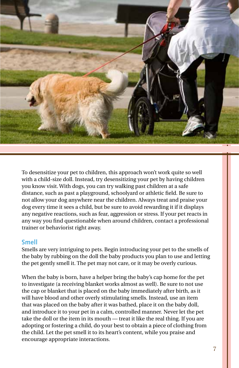

To desensitize your pet to children, this approach won't work quite so well with a child-size doll. Instead, try desensitizing your pet by having children you know visit. With dogs, you can try walking past children at a safe distance, such as past a playground, schoolyard or athletic field. Be sure to not allow your dog anywhere near the children. Always treat and praise your dog every time it sees a child, but be sure to avoid rewarding it if it displays any negative reactions, such as fear, aggression or stress. If your pet reacts in any way you find questionable when around children, contact a professional trainer or behaviorist right away.

#### **Smell**

Smells are very intriguing to pets. Begin introducing your pet to the smells of the baby by rubbing on the doll the baby products you plan to use and letting the pet gently smell it. The pet may not care, or it may be overly curious.

When the baby is born, have a helper bring the baby's cap home for the pet to investigate (a receiving blanket works almost as well). Be sure to not use the cap or blanket that is placed on the baby immediately after birth, as it will have blood and other overly stimulating smells. Instead, use an item that was placed on the baby after it was bathed, place it on the baby doll, and introduce it to your pet in a calm, controlled manner. Never let the pet take the doll or the item in its mouth — treat it like the real thing. If you are adopting or fostering a child, do your best to obtain a piece of clothing from the child. Let the pet smell it to its heart's content, while you praise and encourage appropriate interactions.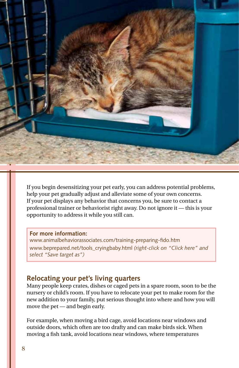

If you begin desensitizing your pet early, you can address potential problems, help your pet gradually adjust and alleviate some of your own concerns. If your pet displays any behavior that concerns you, be sure to contact a professional trainer or behaviorist right away. Do not ignore it — this is your opportunity to address it while you still can.

**For more information:**

www.animalbehaviorassociates.com/training-preparing-fido.htm www.beprepared.net/tools\_cryingbaby.html *(right-click on "Click here" and select "Save target as")*

### **Relocating your pet's living quarters**

Many people keep crates, dishes or caged pets in a spare room, soon to be the nursery or child's room. If you have to relocate your pet to make room for the new addition to your family, put serious thought into where and how you will move the pet — and begin early.

For example, when moving a bird cage, avoid locations near windows and outside doors, which often are too drafty and can make birds sick. When moving a fish tank, avoid locations near windows, where temperatures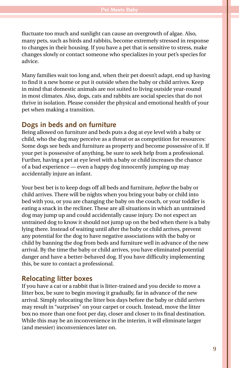fluctuate too much and sunlight can cause an overgrowth of algae. Also, many pets, such as birds and rabbits, become extremely stressed in response to changes in their housing. If you have a pet that is sensitive to stress, make changes slowly or contact someone who specializes in your pet's species for advice.

Many families wait too long and, when their pet doesn't adapt, end up having to find it a new home or put it outside when the baby or child arrives. Keep in mind that domestic animals are not suited to living outside year-round in most climates. Also, dogs, cats and rabbits are social species that do not thrive in isolation. Please consider the physical and emotional health of your pet when making a transition.

### **Dogs in beds and on furniture**

Being allowed on furniture and beds puts a dog at eye level with a baby or child, who the dog may perceive as a threat or as competition for resources: Some dogs see beds and furniture as property and become possessive of it. If your pet is possessive of anything, be sure to seek help from a professional. Further, having a pet at eye level with a baby or child increases the chance of a bad experience — even a happy dog innocently jumping up may accidentally injure an infant.

Your best bet is to keep dogs off all beds and furniture, *before* the baby or child arrives. There will be nights when you bring your baby or child into bed with you, or you are changing the baby on the couch, or your toddler is eating a snack in the recliner. These are all situations in which an untrained dog may jump up and could accidentally cause injury. Do not expect an untrained dog to know it should not jump up on the bed when there is a baby lying there. Instead of waiting until after the baby or child arrives, prevent any potential for the dog to have negative associations with the baby or child by banning the dog from beds and furniture well in advance of the new arrival. By the time the baby or child arrives, you have eliminated potential danger and have a better-behaved dog. If you have difficulty implementing this, be sure to contact a professional.

#### **Relocating litter boxes**

If you have a cat or a rabbit that is litter-trained and you decide to move a litter box, be sure to begin moving it gradually, far in advance of the new arrival. Simply relocating the litter box days before the baby or child arrives may result in "surprises" on your carpet or couch. Instead, move the litter box no more than one foot per day, closer and closer to its final destination. While this may be an inconvenience in the interim, it will eliminate larger (and messier) inconveniences later on.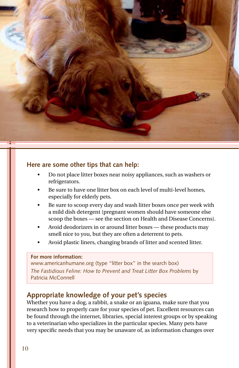

#### **Here are some other tips that can help:**

- Do not place litter boxes near noisy appliances, such as washers or refrigerators.
- Be sure to have one litter box on each level of multi-level homes, especially for elderly pets.
- Be sure to scoop every day and wash litter boxes once per week with a mild dish detergent (pregnant women should have someone else scoop the boxes — see the section on Health and Disease Concerns).
- Avoid deodorizers in or around litter boxes these products may smell nice to you, but they are often a deterrent to pets.
- Avoid plastic liners, changing brands of litter and scented litter.

#### **For more information:**

www.americanhumane.org (type "litter box" in the search box) *The Fastidious Feline: How to Prevent and Treat Litter Box Problems* by Patricia McConnell

# **Appropriate knowledge of your pet's species**

Whether you have a dog, a rabbit, a snake or an iguana, make sure that you research how to properly care for your species of pet. Excellent resources can be found through the internet, libraries, special interest groups or by speaking to a veterinarian who specializes in the particular species. Many pets have very specific needs that you may be unaware of, as information changes over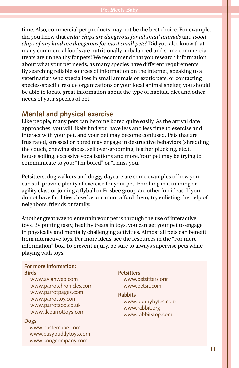time. Also, commercial pet products may not be the best choice. For example, did you know that *cedar chips are dangerous for all small animals* and *wood chips of any kind are dangerous for most small pets?* Did you also know that many commercial foods are nutritionally imbalanced and some commercial treats are unhealthy for pets? We recommend that you research information about what your pet needs, as many species have different requirements. By searching reliable sources of information on the internet, speaking to a veterinarian who specializes in small animals or exotic pets, or contacting species-specific rescue organizations or your local animal shelter, you should be able to locate great information about the type of habitat, diet and other needs of your species of pet.

#### **Mental and physical exercise**

Like people, many pets can become bored quite easily. As the arrival date approaches, you will likely find you have less and less time to exercise and interact with your pet, and your pet may become confused. Pets that are frustrated, stressed or bored may engage in destructive behaviors (shredding the couch, chewing shoes, self over-grooming, feather plucking, etc.), house soiling, excessive vocalizations and more. Your pet may be trying to communicate to you: "I'm bored" or "I miss you."

Petsitters, dog walkers and doggy daycare are some examples of how you can still provide plenty of exercise for your pet. Enrolling in a training or agility class or joining a flyball or Frisbee group are other fun ideas. If you do not have facilities close by or cannot afford them, try enlisting the help of neighbors, friends or family.

Another great way to entertain your pet is through the use of interactive toys. By putting tasty, healthy treats in toys, you can get your pet to engage in physically and mentally challenging activities. Almost all pets can benefit from interactive toys. For more ideas, see the resources in the "For more information" box. To prevent injury, be sure to always supervise pets while playing with toys.

#### **For more information: Birds**

www.avianweb.com www.parrotchronicles.com www.parrotpages.com www.parrottoy.com www.parrotzoo.co.uk www.tlcparrottoys.com

#### **Dogs**

www.bustercube.com www.busybuddytoys.com www.kongcompany.com

#### **Petsitters**

www.petsitters.org www.petsit.com

#### **Rabbits**

www.bunnybytes.com www.rabbit.org www.rabbitstop.com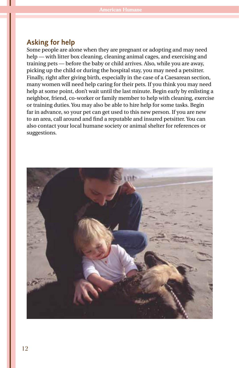#### **Asking for help**

Some people are alone when they are pregnant or adopting and may need help — with litter box cleaning, cleaning animal cages, and exercising and training pets — before the baby or child arrives. Also, while you are away, picking up the child or during the hospital stay, you may need a petsitter. Finally, right after giving birth, especially in the case of a Caesarean section, many women will need help caring for their pets. If you think you may need help at some point, don't wait until the last minute. Begin early by enlisting a neighbor, friend, co-worker or family member to help with cleaning, exercise or training duties. You may also be able to hire help for some tasks. Begin far in advance, so your pet can get used to this new person. If you are new to an area, call around and find a reputable and insured petsitter. You can also contact your local humane society or animal shelter for references or suggestions.

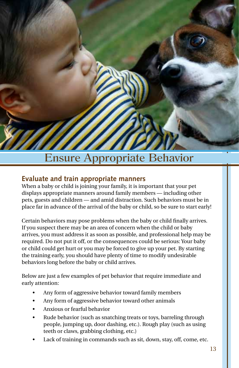

# Ensure Appropriate Behavior

### **Evaluate and train appropriate manners**

When a baby or child is joining your family, it is important that your pet displays appropriate manners around family members — including other pets, guests and children — and amid distraction. Such behaviors must be in place far in advance of the arrival of the baby or child, so be sure to start early!

Certain behaviors may pose problems when the baby or child finally arrives. If you suspect there may be an area of concern when the child or baby arrives, you must address it as soon as possible, and professional help may be required. Do not put it off, or the consequences could be serious: Your baby or child could get hurt or you may be forced to give up your pet. By starting the training early, you should have plenty of time to modify undesirable behaviors long before the baby or child arrives.

Below are just a few examples of pet behavior that require immediate and early attention:

- Any form of aggressive behavior toward family members
- Any form of aggressive behavior toward other animals
- Anxious or fearful behavior
- Rude behavior (such as snatching treats or toys, barreling through people, jumping up, door dashing, etc.). Rough play (such as using teeth or claws, grabbing clothing, etc.)
- Lack of training in commands such as sit, down, stay, off, come, etc.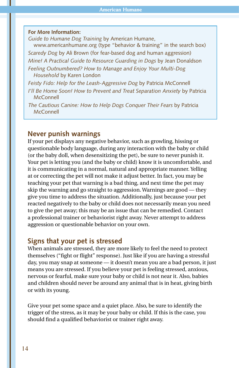#### **For More Information:**

*Guide to Humane Dog Training* by American Humane, www.americanhumane.org (type "behavior & training" in the search box) *Scaredy Dog* by Ali Brown (for fear-based dog and human aggression) *Mine! A Practical Guide to Resource Guarding in Dogs* by Jean Donaldson *Feeling Outnumbered? How to Manage and Enjoy Your Multi-Dog Household* by Karen London *Feisty Fido: Help for the Leash-Aggressive Dog* by Patricia McConnell *I'll Be Home Soon! How to Prevent and Treat Separation Anxiety* by Patricia **McConnell** *The Cautious Canine: How to Help Dogs Conquer Their Fears* by Patricia

#### **Never punish warnings**

**McConnell** 

If your pet displays any negative behavior, such as growling, hissing or questionable body language, during any interaction with the baby or child (or the baby doll, when desensitizing the pet), be sure to never punish it. Your pet is letting you (and the baby or child) know it is uncomfortable, and it is communicating in a normal, natural and appropriate manner. Yelling at or correcting the pet will not make it adjust better. In fact, you may be teaching your pet that warning is a bad thing, and next time the pet may skip the warning and go straight to aggression. Warnings are good — they give you time to address the situation. Additionally, just because your pet reacted negatively to the baby or child does not necessarily mean you need to give the pet away; this may be an issue that can be remedied. Contact a professional trainer or behaviorist right away. Never attempt to address aggression or questionable behavior on your own.

#### **Signs that your pet is stressed**

When animals are stressed, they are more likely to feel the need to protect themselves ("fight or flight" response). Just like if you are having a stressful day, you may snap at someone — it doesn't mean you are a bad person, it just means you are stressed. If you believe your pet is feeling stressed, anxious, nervous or fearful, make sure your baby or child is not near it. Also, babies and children should never be around any animal that is in heat, giving birth or with its young.

Give your pet some space and a quiet place. Also, be sure to identify the trigger of the stress, as it may be your baby or child. If this is the case, you should find a qualified behaviorist or trainer right away.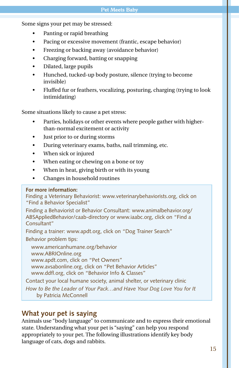Some signs your pet may be stressed:

- Panting or rapid breathing
- Pacing or excessive movement (frantic, escape behavior)
- Freezing or backing away (avoidance behavior)
- Charging forward, batting or snapping
- Dilated, large pupils
- Hunched, tucked-up body posture, silence (trying to become invisible)
- Fluffed fur or feathers, vocalizing, posturing, charging (trying to look intimidating)

Some situations likely to cause a pet stress:

- Parties, holidays or other events where people gather with higherthan-normal excitement or activity
- Just prior to or during storms
- • During veterinary exams, baths, nail trimming, etc.
- When sick or injured
- When eating or chewing on a bone or toy
- When in heat, giving birth or with its young
- Changes in household routines

#### **For more information:**

Finding a Veterinary Behaviorist: www.veterinarybehaviorists.org, click on "Find a Behavior Specialist"

Finding a Behaviorist or Behavior Consultant: www.animalbehavior.org/ ABSAppliedBehavior/caab-directory or www.iaabc.org, click on "Find a Consultant"

Finding a trainer: www.apdt.org, click on "Dog Trainer Search"

Behavior problem tips:

www.americanhumane.org/behavior

www.ABRIOnline.org

www.apdt.com, click on "Pet Owners" www.avsabonline.org, click on "Pet Behavior Articles" www.ddfl.org, click on "Behavior Info & Classes"

Contact your local humane society, animal shelter, or veterinary clinic *How to Be the Leader of Your Pack…and Have Your Dog Love You for It*  by Patricia McConnell

### **What your pet is saying**

Animals use "body language" to communicate and to express their emotional state. Understanding what your pet is "saying" can help you respond appropriately to your pet. The following illustrations identify key body language of cats, dogs and rabbits.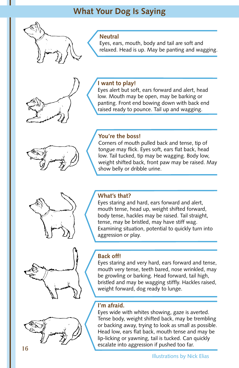# **What Your Dog Is Saying**





#### **Neutral**

Eyes, ears, mouth, body and tail are soft and relaxed. Head is up. May be panting and wagging.

#### **I want to play!**

Eyes alert but soft, ears forward and alert, head low. Mouth may be open, may be barking or panting. Front end bowing down with back end raised ready to pounce. Tail up and wagging.

#### **You're the boss!**

Corners of mouth pulled back and tense, tip of tongue may flick. Eyes soft, ears flat back, head low. Tail tucked, tip may be wagging. Body low, weight shifted back, front paw may be raised. May show belly or dribble urine.







#### **What's that?**

Eyes staring and hard, ears forward and alert, mouth tense, head up, weight shifted forward, body tense, hackles may be raised. Tail straight, tense, may be bristled, may have stiff wag. Examining situation, potential to quickly turn into aggression or play.

#### **Back off!**

Eyes staring and very hard, ears forward and tense, mouth very tense, teeth bared, nose wrinkled, may be growling or barking. Head forward, tail high, bristled and may be wagging stiffly. Hackles raised, weight forward, dog ready to lunge.

#### **I'm afraid.**

Eyes wide with whites showing, gaze is averted. Tense body, weight shifted back, may be trembling or backing away, trying to look as small as possible. Head low, ears flat back, mouth tense and may be lip-licking or yawning, tail is tucked. Can quickly escalate into aggression if pushed too far.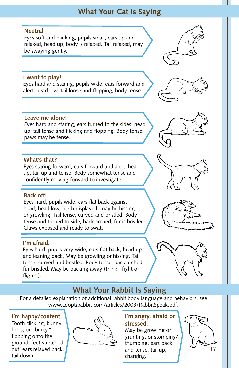# **What Your Cat Is Saying**

#### **Neutral**

Eyes soft and blinking, pupils small, ears up and relaxed, head up, body is relaxed. Tail relaxed, may be swaying gently.

#### **I want to play!**

Eyes hard and staring, pupils wide, ears forward and alert, head low, tail loose and flopping, body tense.

#### **Leave me alone!**

Eyes hard and staring, ears turned to the sides, head up, tail tense and flicking and flopping. Body tense, paws may be tense.

#### **What's that?**

Eyes staring forward, ears forward and alert, head up, tail up and tense. Body somewhat tense and confidently moving forward to investigate.

#### **Back off!**

Eyes hard, pupils wide, ears flat back against head, head low, teeth displayed, may be hissing or growling. Tail tense, curved and bristled. Body tense and turned to side, back arched, fur is bristled. Claws exposed and ready to swat.

#### **I'm afraid.**

Eyes hard, pupils very wide, ears flat back, head up and leaning back. May be growling or hissing. Tail tense, curved and bristled. Body tense, back arched, fur bristled. May be backing away (think "fight or flight").













# **What Your Rabbit Is Saying**

For a detailed explanation of additional rabbit body language and behaviors, see www.adoptarabbit.com/articles/2003/RabbitSpeak.pdf.

#### **I'm happy/content.**

Tooth clicking, bunny hops, or "binky," flopping onto the ground, feet stretched out, ears relaxed back, tail down.



# **I'm angry, afraid or stressed.**

May be growling or grunting, or stomping/ thumping, ears back and tense, tail up, charging.

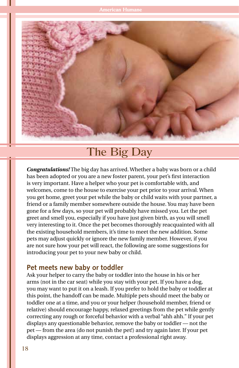

# The Big Day

*Congratulations!* The big day has arrived. Whether a baby was born or a child has been adopted or you are a new foster parent, your pet's first interaction is very important. Have a helper who your pet is comfortable with, and welcomes, come to the house to exercise your pet prior to your arrival. When you get home, greet your pet while the baby or child waits with your partner, a friend or a family member somewhere outside the house. You may have been gone for a few days, so your pet will probably have missed you. Let the pet greet and smell you, especially if you have just given birth, as you will smell very interesting to it. Once the pet becomes thoroughly reacquainted with all the existing household members, it's time to meet the new addition. Some pets may adjust quickly or ignore the new family member. However, if you are not sure how your pet will react, the following are some suggestions for introducing your pet to your new baby or child.

#### **Pet meets new baby or toddler**

Ask your helper to carry the baby or toddler into the house in his or her arms (not in the car seat) while you stay with your pet. If you have a dog, you may want to put it on a leash. If you prefer to hold the baby or toddler at this point, the handoff can be made. Multiple pets should meet the baby or toddler one at a time, and you or your helper (household member, friend or relative) should encourage happy, relaxed greetings from the pet while gently correcting any rough or forceful behavior with a verbal "ahh ahh." If your pet displays any questionable behavior, remove the baby or toddler — not the pet — from the area (do not punish the pet!) and try again later. If your pet displays aggression at any time, contact a professional right away.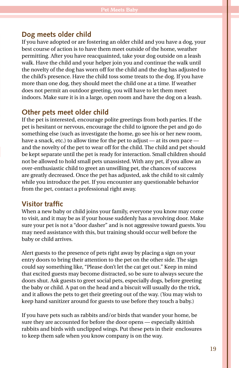### **Dog meets older child**

If you have adopted or are fostering an older child and you have a dog, your best course of action is to have them meet outside of the home, weather permitting. After you have reacquainted, take your dog outside on a leash walk. Have the child and your helper join you and continue the walk until the novelty of the dog has worn off for the child and the dog has adjusted to the child's presence. Have the child toss some treats to the dog. If you have more than one dog, they should meet the child one at a time. If weather does not permit an outdoor greeting, you will have to let them meet indoors. Make sure it is in a large, open room and have the dog on a leash.

### **Other pets meet older child**

If the pet is interested, encourage polite greetings from both parties. If the pet is hesitant or nervous, encourage the child to ignore the pet and go do something else (such as investigate the home, go see his or her new room, have a snack, etc.) to allow time for the pet to adjust — at its own pace and the novelty of the pet to wear off for the child. The child and pet should be kept separate until the pet is ready for interaction. Small children should not be allowed to hold small pets unassisted. With any pet, if you allow an over-enthusiastic child to greet an unwilling pet, the chances of success are greatly decreased. Once the pet has adjusted, ask the child to sit calmly while you introduce the pet. If you encounter any questionable behavior from the pet, contact a professional right away.

#### **Visitor traffic**

When a new baby or child joins your family, everyone you know may come to visit, and it may be as if your house suddenly has a revolving door. Make sure your pet is not a "door dasher" and is not aggressive toward guests. You may need assistance with this, but training should occur well before the baby or child arrives.

Alert guests to the presence of pets right away by placing a sign on your entry doors to bring their attention to the pet on the other side. The sign could say something like, "Please don't let the cat get out." Keep in mind that excited guests may become distracted, so be sure to always secure the doors shut. Ask guests to greet social pets, especially dogs, before greeting the baby or child. A pat on the head and a biscuit will usually do the trick, and it allows the pets to get their greeting out of the way. (You may wish to keep hand sanitizer around for guests to use before they touch a baby.)

If you have pets such as rabbits and/or birds that wander your home, be sure they are accounted for before the door opens — especially skittish rabbits and birds with unclipped wings. Put these pets in their enclosures to keep them safe when you know company is on the way.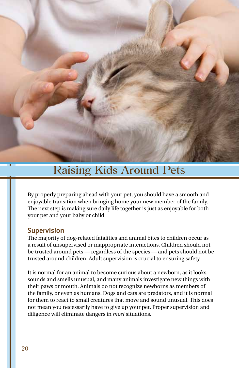

# Raising Kids Around Pets

By properly preparing ahead with your pet, you should have a smooth and enjoyable transition when bringing home your new member of the family. The next step is making sure daily life together is just as enjoyable for both your pet and your baby or child.

#### **Supervision**

The majority of dog-related fatalities and animal bites to children occur as a result of unsupervised or inappropriate interactions. Children should not be trusted around pets — regardless of the species — and pets should not be trusted around children. Adult supervision is crucial to ensuring safety.

It is normal for an animal to become curious about a newborn, as it looks, sounds and smells unusual, and many animals investigate new things with their paws or mouth. Animals do not recognize newborns as members of the family, or even as humans. Dogs and cats are predators, and it is normal for them to react to small creatures that move and sound unusual. This does not mean you necessarily have to give up your pet. Proper supervision and diligence will eliminate dangers in *most* situations.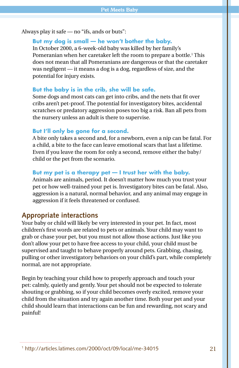Always play it safe — no "ifs, ands or buts":

#### **But my dog is small — he won't bother the baby.**

In October 2000, a 6-week-old baby was killed by her family's Pomeranian when her caretaker left the room to prepare a bottle.<sup>1</sup> This does not mean that all Pomeranians are dangerous or that the caretaker was negligent — it means a dog is a dog, regardless of size, and the potential for injury exists.

#### **But the baby is in the crib, she will be safe.**

Some dogs and most cats can get into cribs, and the nets that fit over cribs aren't pet-proof. The potential for investigatory bites, accidental scratches or predatory aggression poses too big a risk. Ban all pets from the nursery unless an adult is there to supervise.

#### **But I'll only be gone for a second.**

A bite only takes a second and, for a newborn, even a nip can be fatal. For a child, a bite to the face can leave emotional scars that last a lifetime. Even if you leave the room for only a second, remove either the baby/ child or the pet from the scenario.

#### **But my pet is a therapy pet — I trust her with the baby.**

Animals are animals, period. It doesn't matter how much you trust your pet or how well-trained your pet is. Investigatory bites can be fatal. Also, aggression is a natural, normal behavior, and any animal may engage in aggression if it feels threatened or confused.

#### **Appropriate interactions**

Your baby or child will likely be very interested in your pet. In fact, most children's first words are related to pets or animals. Your child may want to grab or chase your pet, but you must not allow those actions. Just like you don't allow your pet to have free access to your child, your child must be supervised and taught to behave properly around pets. Grabbing, chasing, pulling or other investigatory behaviors on your child's part, while completely normal, are not appropriate.

Begin by teaching your child how to properly approach and touch your pet: calmly, quietly and gently. Your pet should not be expected to tolerate shouting or grabbing, so if your child becomes overly excited, remove your child from the situation and try again another time. Both your pet and your child should learn that interactions can be fun and rewarding, not scary and painful!

<sup>1</sup> http://articles.latimes.com/2000/oct/09/local/me-34015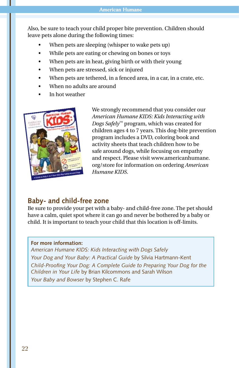Also, be sure to teach your child proper bite prevention. Children should leave pets alone during the following times:

- When pets are sleeping (whisper to wake pets up)
- While pets are eating or chewing on bones or toys
- When pets are in heat, giving birth or with their young
- When pets are stressed, sick or injured
- When pets are tethered, in a fenced area, in a car, in a crate, etc.
- When no adults are around
- In hot weather



We strongly recommend that you consider our *American Humane KIDS: Kids Interacting with Dogs Safely*™ program, which was created for children ages 4 to 7 years. This dog-bite prevention program includes a DVD, coloring book and activity sheets that teach children how to be safe around dogs, while focusing on empathy and respect. Please visit www.americanhumane. org/store for information on ordering *American Humane KIDS*.

### **Baby- and child-free zone**

Be sure to provide your pet with a baby- and child-free zone. The pet should have a calm, quiet spot where it can go and never be bothered by a baby or child. It is important to teach your child that this location is off-limits.

#### **For more information:**

*American Humane KIDS: Kids Interacting with Dogs Safely Your Dog and Your Baby: A Practical Guide* by Silvia Hartmann-Kent *Child-Proofing Your Dog: A Complete Guide to Preparing Your Dog for the Children in Your Life* by Brian Kilcommons and Sarah Wilson *Your Baby and Bowser* by Stephen C. Rafe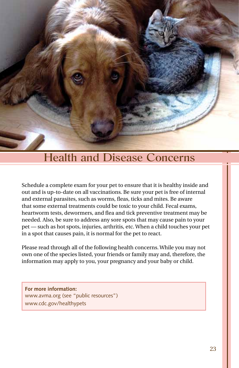

# Health and Disease Concerns

Schedule a complete exam for your pet to ensure that it is healthy inside and out and is up-to-date on all vaccinations. Be sure your pet is free of internal and external parasites, such as worms, fleas, ticks and mites. Be aware that some external treatments could be toxic to your child. Fecal exams, heartworm tests, dewormers, and flea and tick preventive treatment may be needed. Also, be sure to address any sore spots that may cause pain to your pet — such as hot spots, injuries, arthritis, etc. When a child touches your pet in a spot that causes pain, it is normal for the pet to react.

Please read through all of the following health concerns. While you may not own one of the species listed, your friends or family may and, therefore, the information may apply to you, your pregnancy and your baby or child.

**For more information:** www.avma.org (see "public resources") www.cdc.gov/healthypets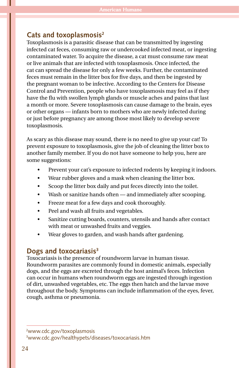#### **Cats and toxoplasmosis2**

Toxoplasmosis is a parasitic disease that can be transmitted by ingesting infected cat feces, consuming raw or undercooked infected meat, or ingesting contaminated water. To acquire the disease, a cat must consume raw meat or live animals that are infected with toxoplasmosis. Once infected, the cat can spread the disease for only a few weeks. Further, the contaminated feces must remain in the litter box for five days, and then be ingested by the pregnant woman to be infective. According to the Centers for Disease Control and Prevention, people who have toxoplasmosis may feel as if they have the flu with swollen lymph glands or muscle aches and pains that last a month or more. Severe toxoplasmosis can cause damage to the brain, eyes or other organs — infants born to mothers who are newly infected during or just before pregnancy are among those most likely to develop severe toxoplasmosis.

As scary as this disease may sound, there is no need to give up your cat! To prevent exposure to toxoplasmosis, give the job of cleaning the litter box to another family member. If you do not have someone to help you, here are some suggestions:

- Prevent your cat's exposure to infected rodents by keeping it indoors.
- Wear rubber gloves and a mask when cleaning the litter box.
- Scoop the litter box daily and put feces directly into the toilet.
- Wash or sanitize hands often and immediately after scooping.
- Freeze meat for a few days and cook thoroughly.
- Peel and wash all fruits and vegetables.
- Sanitize cutting boards, counters, utensils and hands after contact with meat or unwashed fruits and veggies.
- Wear gloves to garden, and wash hands after gardening.

#### **Dogs and toxocariasis3**

Toxocariasis is the presence of roundworm larvae in human tissue. Roundworm parasites are commonly found in domestic animals, especially dogs, and the eggs are excreted through the host animal's feces. Infection can occur in humans when roundworm eggs are ingested through ingestion of dirt, unwashed vegetables, etc. The eggs then hatch and the larvae move throughout the body. Symptoms can include inflammation of the eyes, fever, cough, asthma or pneumonia.

2 www.cdc.gov/toxoplasmosis 3 www.cdc.gov/healthypets/diseases/toxocariasis.htm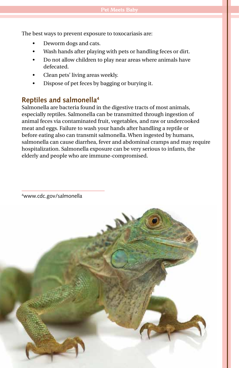The best ways to prevent exposure to toxocariasis are:

- Deworm dogs and cats.
- Wash hands after playing with pets or handling feces or dirt.
- Do not allow children to play near areas where animals have defecated.
- Clean pets' living areas weekly.
- Dispose of pet feces by bagging or burying it.

### **Reptiles and salmonella4**

Salmonella are bacteria found in the digestive tracts of most animals, especially reptiles. Salmonella can be transmitted through ingestion of animal feces via contaminated fruit, vegetables, and raw or undercooked meat and eggs. Failure to wash your hands after handling a reptile or before eating also can transmit salmonella. When ingested by humans, salmonella can cause diarrhea, fever and abdominal cramps and may require hospitalization. Salmonella exposure can be very serious to infants, the elderly and people who are immune-compromised.



4 www.cdc.gov/salmonella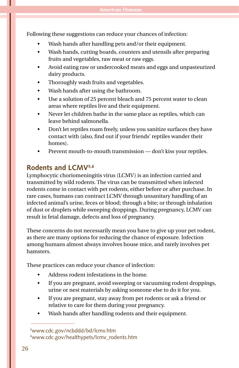Following these suggestions can reduce your chances of infection:

- Wash hands after handling pets and/or their equipment.
- Wash hands, cutting boards, counters and utensils after preparing fruits and vegetables, raw meat or raw eggs.
- Avoid eating raw or undercooked meats and eggs and unpasteurized dairy products.
- Thoroughly wash fruits and vegetables.
- Wash hands after using the bathroom.
- Use a solution of 25 percent bleach and 75 percent water to clean areas where reptiles live and their equipment.
- Never let children bathe in the same place as reptiles, which can leave behind salmonella.
- Don't let reptiles roam freely, unless you sanitize surfaces they have contact with (also, find out if your friends' reptiles wander their homes).
- Prevent mouth-to-mouth transmission don't kiss your reptiles.

# **Rodents and LCMV5,6**

Lymphocytic choriomeningitis virus (LCMV) is an infection carried and transmitted by wild rodents. The virus can be transmitted when infected rodents come in contact with pet rodents, either before or after purchase. In rare cases, humans can contract LCMV through unsanitary handling of an infected animal's urine, feces or blood; through a bite; or through inhalation of dust or droplets while sweeping droppings. During pregnancy, LCMV can result in fetal damage, defects and loss of pregnancy.

These concerns do not necessarily mean you have to give up your pet rodent, as there are many options for reducing the chance of exposure. Infection among humans almost always involves house mice, and rarely involves pet hamsters.

These practices can reduce your chance of infection:

- Address rodent infestations in the home
- If you are pregnant, avoid sweeping or vacuuming rodent droppings, urine or nest materials by asking someone else to do it for you.
- If you are pregnant, stay away from pet rodents or ask a friend or relative to care for them during your pregnancy.
- Wash hands after handling rodents and their equipment.

<sup>5</sup> www.cdc.gov/ncbddd/bd/lcmv.htm 6 www.cdc.gov/healthypets/lcmv\_rodents.htm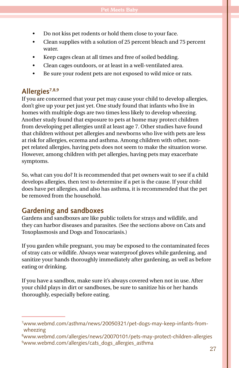- Do not kiss pet rodents or hold them close to your face.
- Clean supplies with a solution of 25 percent bleach and 75 percent water.
- Keep cages clean at all times and free of soiled bedding.
- Clean cages outdoors, or at least in a well-ventilated area.
- Be sure your rodent pets are not exposed to wild mice or rats.

### **Allergies7,8,9**

If you are concerned that your pet may cause your child to develop allergies, don't give up your pet just yet. One study found that infants who live in homes with multiple dogs are two times less likely to develop wheezing. Another study found that exposure to pets at home may protect children from developing pet allergies until at least age 7. Other studies have found that children without pet allergies and newborns who live with pets are less at risk for allergies, eczema and asthma. Among children with other, nonpet related allergies, having pets does not seem to make the situation worse. However, among children with pet allergies, having pets may exacerbate symptoms.

So, what can you do? It is recommended that pet owners wait to see if a child develops allergies, then test to determine if a pet is the cause. If your child does have pet allergies, and also has asthma, it is recommended that the pet be removed from the household.

# **Gardening and sandboxes**

Gardens and sandboxes are like public toilets for strays and wildlife, and they can harbor diseases and parasites. (See the sections above on Cats and Toxoplasmosis and Dogs and Toxocariasis.)

If you garden while pregnant, you may be exposed to the contaminated feces of stray cats or wildlife. Always wear waterproof gloves while gardening, and sanitize your hands thoroughly immediately after gardening, as well as before eating or drinking.

If you have a sandbox, make sure it's always covered when not in use. After your child plays in dirt or sandboxes, be sure to sanitize his or her hands thoroughly, especially before eating.

<sup>7</sup> www.webmd.com/asthma/news/20050321/pet-dogs-may-keep-infants-fromwheezing

<sup>8</sup> www.webmd.com/allergies/news/20070101/pets-may-protect-children-allergies 9 www.webmd.com/allergies/cats\_dogs\_allergies\_asthma